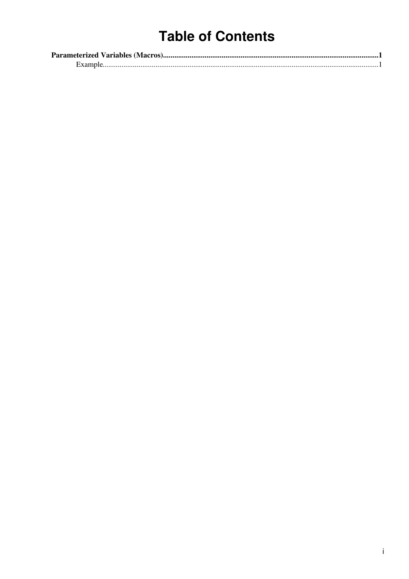# **Table of Contents**

| Example. |  |
|----------|--|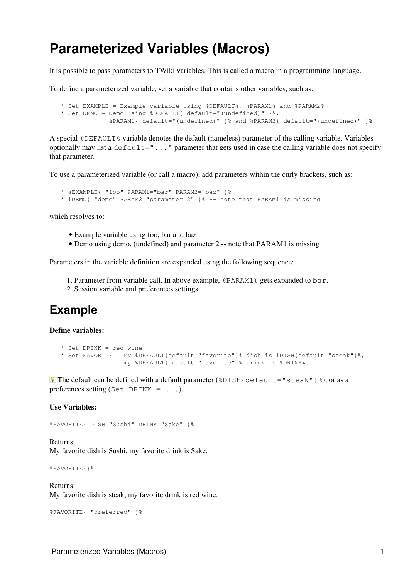## <span id="page-1-0"></span>**Parameterized Variables (Macros)**

It is possible to pass parameters to TWiki variables. This is called a macro in a programming language.

To define a parameterized variable, set a variable that contains other variables, such as:

```
 * Set EXAMPLE = Example variable using %DEFAULT%, %PARAM1% and %PARAM2%
* Set DEMO = Demo using %DEFAULT{ default="(undefined)" }%,
            %PARAM1{ default="(undefined)" }% and %PARAM2{ default="(undefined)" }%
```
A special %DEFAULT% variable denotes the default (nameless) parameter of the calling variable. Variables optionally may list a  $default="$ ..." parameter that gets used in case the calling variable does not specify that parameter.

To use a parameterized variable (or call a macro), add parameters within the curly brackets, such as:

```
 * %EXAMPLE{ "foo" PARAM1="bar" PARAM2="baz" }%
* %DEMO{ "demo" PARAM2="parameter 2" }% -- note that PARAM1 is missing
```
which resolves to:

- Example variable using foo, bar and baz
- Demo using demo, (undefined) and parameter 2 -- note that PARAM1 is missing

Parameters in the variable definition are expanded using the following sequence:

- 1. Parameter from variable call. In above example, %PARAM1% gets expanded to bar.
- 2. Session variable and preferences settings

### <span id="page-1-1"></span>**Example**

**Define variables:**

```
 * Set DRINK = red wine
* Set FAVORITE = My %DEFAULT{default="favorite"}% dish is %DISH{default="steak"}%,
                my %DEFAULT{default="favorite"}% drink is %DRINK%.
```
**The default can be defined with a default parameter** ( $\&$ DISH $\{$ default="steak"} $\&$ ), or as a preferences setting (Set DRINK =  $\dots$ ).

#### **Use Variables:**

```
%FAVORITE{ DISH="Sushi" DRINK="Sake" }%
```
Returns: My favorite dish is Sushi, my favorite drink is Sake.

%FAVORITE{}%

Returns:

My favorite dish is steak, my favorite drink is red wine.

```
%FAVORITE{ "preferred" }%
```